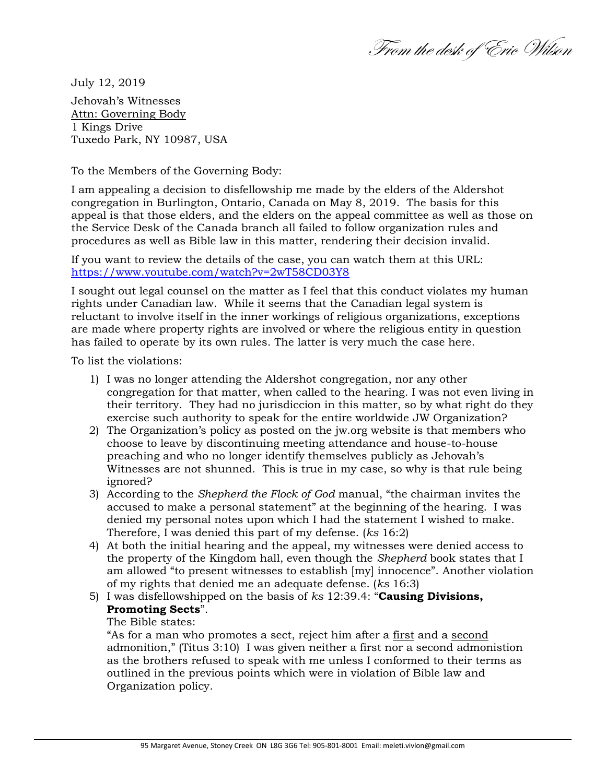From the desk of Eric Wilson

July 12, 2019 Jehovah's Witnesses Attn: Governing Body 1 Kings Drive Tuxedo Park, NY 10987, USA

To the Members of the Governing Body:

I am appealing a decision to disfellowship me made by the elders of the Aldershot congregation in Burlington, Ontario, Canada on May 8, 2019. The basis for this appeal is that those elders, and the elders on the appeal committee as well as those on the Service Desk of the Canada branch all failed to follow organization rules and procedures as well as Bible law in this matter, rendering their decision invalid.

If you want to review the details of the case, you can watch them at this URL: <https://www.youtube.com/watch?v=2wT58CD03Y8>

I sought out legal counsel on the matter as I feel that this conduct violates my human rights under Canadian law. While it seems that the Canadian legal system is reluctant to involve itself in the inner workings of religious organizations, exceptions are made where property rights are involved or where the religious entity in question has failed to operate by its own rules. The latter is very much the case here.

To list the violations:

- 1) I was no longer attending the Aldershot congregation, nor any other congregation for that matter, when called to the hearing. I was not even living in their territory. They had no jurisdiccion in this matter, so by what right do they exercise such authority to speak for the entire worldwide JW Organization?
- 2) The Organization's policy as posted on the jw.org website is that members who choose to leave by discontinuing meeting attendance and house-to-house preaching and who no longer identify themselves publicly as Jehovah's Witnesses are not shunned. This is true in my case, so why is that rule being ignored?
- 3) According to the *Shepherd the Flock of God* manual, "the chairman invites the accused to make a personal statement" at the beginning of the hearing. I was denied my personal notes upon which I had the statement I wished to make. Therefore, I was denied this part of my defense. (*ks* 16:2)
- 4) At both the initial hearing and the appeal, my witnesses were denied access to the property of the Kingdom hall, even though the *Shepherd* book states that I am allowed "to present witnesses to establish [my] innocence". Another violation of my rights that denied me an adequate defense. (*ks* 16:3)
- 5) I was disfellowshipped on the basis of *ks* 12:39.4: "**Causing Divisions, Promoting Sects**".

## The Bible states:

"As for a man who promotes a sect, reject him after a first and a second admonition," (Titus 3:10) I was given neither a first nor a second admonistion as the brothers refused to speak with me unless I conformed to their terms as outlined in the previous points which were in violation of Bible law and Organization policy.